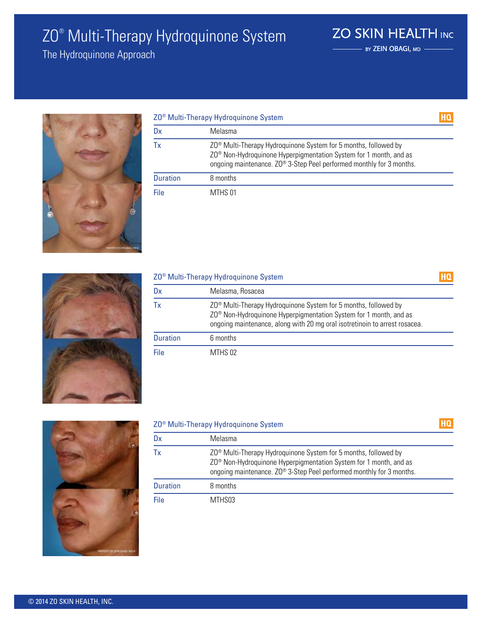# ZO® Multi-Therapy Hydroquinone System

The Hydroquinone Approach



| ZO <sup>®</sup> Multi-Therapy Hydroquinone System |                                                                                                                                                                                                                                      | HQ |
|---------------------------------------------------|--------------------------------------------------------------------------------------------------------------------------------------------------------------------------------------------------------------------------------------|----|
| Dx                                                | Melasma                                                                                                                                                                                                                              |    |
| Тx                                                | ZO <sup>®</sup> Multi-Therapy Hydroquinone System for 5 months, followed by<br>ZO <sup>®</sup> Non-Hydroquinone Hyperpigmentation System for 1 month, and as<br>ongoing maintenance. ZO® 3-Step Peel performed monthly for 3 months. |    |
| <b>Duration</b>                                   | 8 months                                                                                                                                                                                                                             |    |
| File                                              | MTHS 01                                                                                                                                                                                                                              |    |



| Z0 <sup>®</sup> Multi-Therapy Hydroquinone System |                                                                                                                                                                                                                                            |  |
|---------------------------------------------------|--------------------------------------------------------------------------------------------------------------------------------------------------------------------------------------------------------------------------------------------|--|
| Dx                                                | Melasma, Rosacea                                                                                                                                                                                                                           |  |
| Тx                                                | ZO <sup>®</sup> Multi-Therapy Hydroquinone System for 5 months, followed by<br>ZO <sup>®</sup> Non-Hydroquinone Hyperpigmentation System for 1 month, and as<br>ongoing maintenance, along with 20 mg oral isotretinoin to arrest rosacea. |  |
| <b>Duration</b>                                   | 6 months                                                                                                                                                                                                                                   |  |
| File                                              | MTHS 02                                                                                                                                                                                                                                    |  |



#### ZO® Multi-Therapy Hydroquinone System

| Dx              | Melasma                                                                                                                                                                                                                              |
|-----------------|--------------------------------------------------------------------------------------------------------------------------------------------------------------------------------------------------------------------------------------|
| Тx              | ZO <sup>®</sup> Multi-Therapy Hydroquinone System for 5 months, followed by<br>ZO <sup>®</sup> Non-Hydroquinone Hyperpigmentation System for 1 month, and as<br>ongoing maintenance. ZO® 3-Step Peel performed monthly for 3 months. |
| <b>Duration</b> | 8 months                                                                                                                                                                                                                             |
| File            | MTHS03                                                                                                                                                                                                                               |



HQ

- BY ZEIN OBAGI, MD -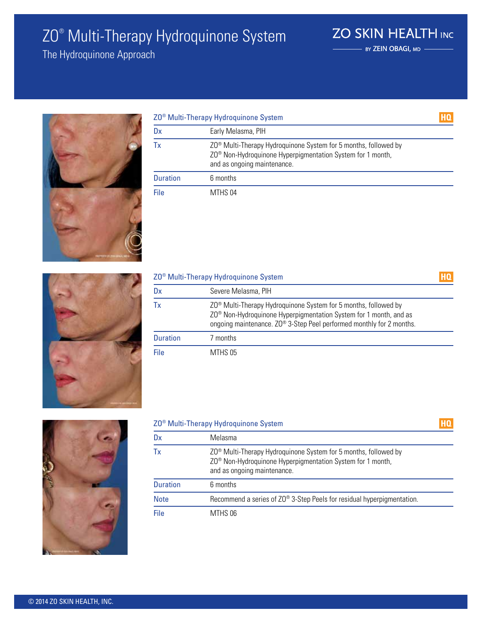# ZO® Multi-Therapy Hydroquinone System

The Hydroquinone Approach



| ZO <sup>®</sup> Multi-Therapy Hydroquinone System |                                                                                                                                                                                      |  |
|---------------------------------------------------|--------------------------------------------------------------------------------------------------------------------------------------------------------------------------------------|--|
| Dx                                                | Early Melasma, PIH                                                                                                                                                                   |  |
| Тx                                                | ZO <sup>®</sup> Multi-Therapy Hydroquinone System for 5 months, followed by<br>ZO <sup>®</sup> Non-Hydroquinone Hyperpigmentation System for 1 month,<br>and as ongoing maintenance. |  |
| <b>Duration</b>                                   | 6 months                                                                                                                                                                             |  |
| File                                              | MTHS 04                                                                                                                                                                              |  |

**ZO SKIN HEALTH INC** - BY ZEIN OBAGI, MD -

HQ



| Z0 <sup>®</sup> Multi-Therapy Hydroquinone System |                                                                                                                                                                                                                                                  |  |
|---------------------------------------------------|--------------------------------------------------------------------------------------------------------------------------------------------------------------------------------------------------------------------------------------------------|--|
| Dx                                                | Severe Melasma, PIH                                                                                                                                                                                                                              |  |
| Тx                                                | Z0 <sup>®</sup> Multi-Therapy Hydroquinone System for 5 months, followed by<br>ZO <sup>®</sup> Non-Hydroquinone Hyperpigmentation System for 1 month, and as<br>ongoing maintenance. ZO <sup>®</sup> 3-Step Peel performed monthly for 2 months. |  |
| <b>Duration</b>                                   | 7 months                                                                                                                                                                                                                                         |  |
| File                                              | MTHS 05                                                                                                                                                                                                                                          |  |



#### ZO® Multi-Therapy Hydroquinone System

| Dx              | Melasma                                                                                                                                                                              |
|-----------------|--------------------------------------------------------------------------------------------------------------------------------------------------------------------------------------|
| Tx              | ZO <sup>®</sup> Multi-Therapy Hydroquinone System for 5 months, followed by<br>ZO <sup>®</sup> Non-Hydroquinone Hyperpigmentation System for 1 month,<br>and as ongoing maintenance. |
| <b>Duration</b> | 6 months                                                                                                                                                                             |
| <b>Note</b>     | Recommend a series of ZO® 3-Step Peels for residual hyperpigmentation.                                                                                                               |
| File            | MTHS 06                                                                                                                                                                              |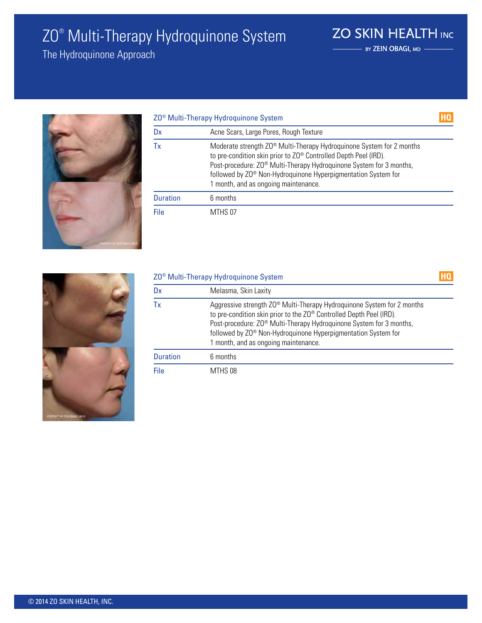# ZO® Multi-Therapy Hydroquinone System

The Hydroquinone Approach



|                 | ZO <sup>®</sup> Multi-Therapy Hydroquinone System                                                                                                                                                                                                                                                                                   |  |
|-----------------|-------------------------------------------------------------------------------------------------------------------------------------------------------------------------------------------------------------------------------------------------------------------------------------------------------------------------------------|--|
| Dx              | Acne Scars, Large Pores, Rough Texture                                                                                                                                                                                                                                                                                              |  |
| Тx              | Moderate strength ZO® Multi-Therapy Hydroquinone System for 2 months<br>to pre-condition skin prior to ZO® Controlled Depth Peel (IRD).<br>Post-procedure: ZO <sup>®</sup> Multi-Therapy Hydroquinone System for 3 months,<br>followed by ZO® Non-Hydroquinone Hyperpigmentation System for<br>1 month, and as ongoing maintenance. |  |
| <b>Duration</b> | 6 months                                                                                                                                                                                                                                                                                                                            |  |
| File            | MTHS 07                                                                                                                                                                                                                                                                                                                             |  |

**ZO SKIN HEALTH INC** - BY ZEIN OBAGI, MD -



| ZO <sup>®</sup> Multi-Therapy Hydroquinone System |                                                                                                                                                                                                                                                                                                                                                       |  |
|---------------------------------------------------|-------------------------------------------------------------------------------------------------------------------------------------------------------------------------------------------------------------------------------------------------------------------------------------------------------------------------------------------------------|--|
| Dx                                                | Melasma, Skin Laxity                                                                                                                                                                                                                                                                                                                                  |  |
| Тx                                                | Aggressive strength ZO <sup>®</sup> Multi-Therapy Hydroquinone System for 2 months<br>to pre-condition skin prior to the ZO® Controlled Depth Peel (IRD).<br>Post-procedure: Z0 <sup>®</sup> Multi-Therapy Hydroquinone System for 3 months,<br>followed by ZO® Non-Hydroquinone Hyperpigmentation System for<br>1 month, and as ongoing maintenance. |  |
| <b>Duration</b>                                   | 6 months                                                                                                                                                                                                                                                                                                                                              |  |
| File                                              | MTHS 08                                                                                                                                                                                                                                                                                                                                               |  |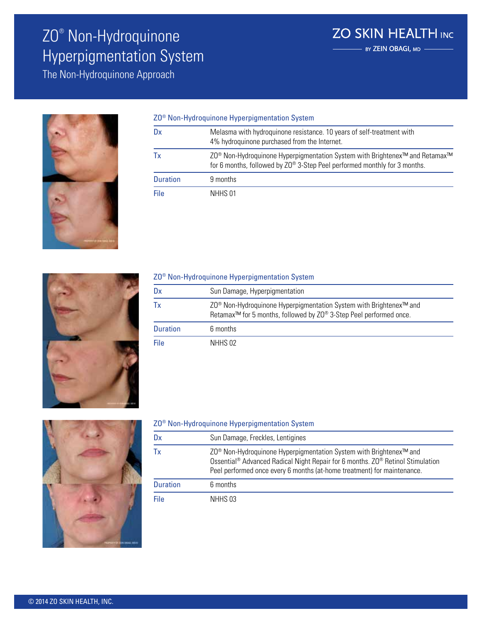# ZO® Non-Hydroquinone Hyperpigmentation System

The Non-Hydroquinone Approach



#### ZO® Non-Hydroquinone Hyperpigmentation System

| Dx              | Melasma with hydroquinone resistance. 10 years of self-treatment with<br>4% hydroquinone purchased from the Internet.                                                                        |
|-----------------|----------------------------------------------------------------------------------------------------------------------------------------------------------------------------------------------|
| Тx              | ZO <sup>®</sup> Non-Hydroquinone Hyperpigmentation System with Brightenex <sup>™</sup> and Retamax <sup>™</sup><br>for 6 months, followed by ZO® 3-Step Peel performed monthly for 3 months. |
| <b>Duration</b> | 9 months                                                                                                                                                                                     |
| File            | NHHS 01                                                                                                                                                                                      |



### ZO® Non-Hydroquinone Hyperpigmentation System

| Dx              | Sun Damage, Hyperpigmentation                                                                                                                                                |
|-----------------|------------------------------------------------------------------------------------------------------------------------------------------------------------------------------|
| Тx              | ZO <sup>®</sup> Non-Hydroquinone Hyperpigmentation System with Brightenex <sup>™</sup> and<br>Retamax <sup>™</sup> for 5 months, followed by ZO® 3-Step Peel performed once. |
| <b>Duration</b> | 6 months                                                                                                                                                                     |
| File            | NHHS 02                                                                                                                                                                      |



#### ZO® Non-Hydroquinone Hyperpigmentation System

| Dx              | Sun Damage, Freckles, Lentigines                                                                                                                                                                                                                                                |
|-----------------|---------------------------------------------------------------------------------------------------------------------------------------------------------------------------------------------------------------------------------------------------------------------------------|
| Tх              | ZO <sup>®</sup> Non-Hydroquinone Hyperpigmentation System with Brightenex <sup>™</sup> and<br>Ossential <sup>®</sup> Advanced Radical Night Repair for 6 months. ZO <sup>®</sup> Retinol Stimulation<br>Peel performed once every 6 months (at-home treatment) for maintenance. |
| <b>Duration</b> | 6 months                                                                                                                                                                                                                                                                        |
| File            | NHHS 03                                                                                                                                                                                                                                                                         |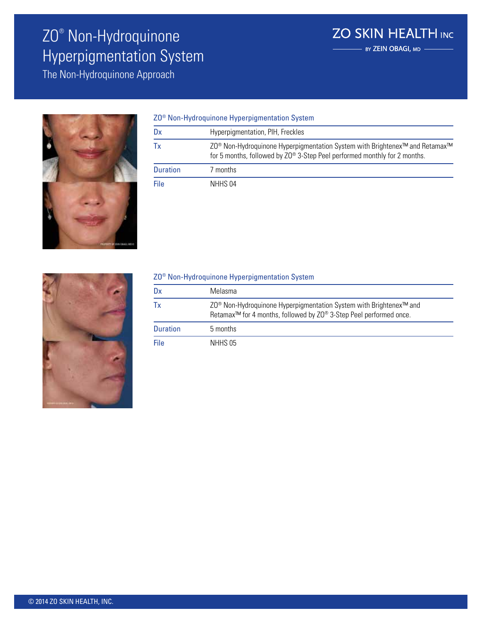# ZO® Non-Hydroquinone Hyperpigmentation System

The Non-Hydroquinone Approach



| ZO <sup>®</sup> Non-Hydroquinone Hyperpigmentation System |                                                                                                                                                                                              |
|-----------------------------------------------------------|----------------------------------------------------------------------------------------------------------------------------------------------------------------------------------------------|
| Dx                                                        | Hyperpigmentation, PIH, Freckles                                                                                                                                                             |
| Tх                                                        | ZO <sup>®</sup> Non-Hydroquinone Hyperpigmentation System with Brightenex <sup>™</sup> and Retamax <sup>™</sup><br>for 5 months, followed by ZO® 3-Step Peel performed monthly for 2 months. |
| <b>Duration</b>                                           | 7 months                                                                                                                                                                                     |
| File                                                      | NHHS 04                                                                                                                                                                                      |



#### ZO® Non-Hydroquinone Hyperpigmentation System

| Dx              | Melasma                                                                                                                                                                      |
|-----------------|------------------------------------------------------------------------------------------------------------------------------------------------------------------------------|
|                 | ZO <sup>®</sup> Non-Hydroquinone Hyperpigmentation System with Brightenex <sup>™</sup> and<br>Retamax <sup>™</sup> for 4 months, followed by ZO® 3-Step Peel performed once. |
| <b>Duration</b> | 5 months                                                                                                                                                                     |
| File            | NHHS 05                                                                                                                                                                      |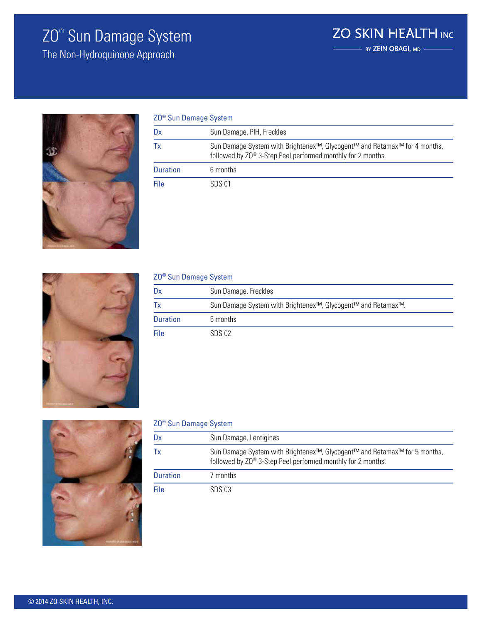### ZO® Sun Damage System

The Non-Hydroquinone Approach



| ZO <sup>®</sup> Sun Damage System |                                                                                                                                                       |
|-----------------------------------|-------------------------------------------------------------------------------------------------------------------------------------------------------|
| Dx                                | Sun Damage, PIH, Freckles                                                                                                                             |
| Тx                                | Sun Damage System with Brightenex <sup>™</sup> , Glycogent™ and Retamax™ for 4 months,<br>followed by ZO® 3-Step Peel performed monthly for 2 months. |
| <b>Duration</b>                   | 6 months                                                                                                                                              |
| File                              | SDS 01                                                                                                                                                |



### Dx Sun Damage, Freckles Tx Sun Damage System with Brightenex™, Glycogent™ and Retamax™. Duration 5 months File SDS 02 ZO® Sun Damage System



#### ZO® Sun Damage System

| Dx              | Sun Damage, Lentigines                                                                                                                                |
|-----------------|-------------------------------------------------------------------------------------------------------------------------------------------------------|
| Tх              | Sun Damage System with Brightenex <sup>™</sup> , Glycogent™ and Retamax™ for 5 months,<br>followed by ZO® 3-Step Peel performed monthly for 2 months. |
| <b>Duration</b> | 7 months                                                                                                                                              |
| File            | SDS 03                                                                                                                                                |

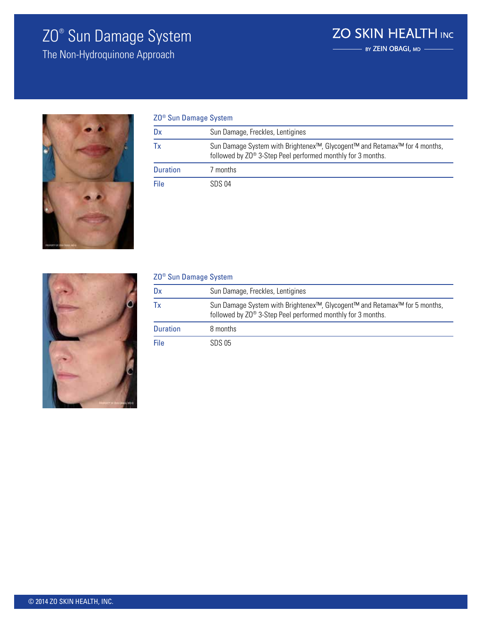### ZO® Sun Damage System

The Non-Hydroquinone Approach



| ZO <sup>®</sup> Sun Damage System |                                                                                                                                                       |
|-----------------------------------|-------------------------------------------------------------------------------------------------------------------------------------------------------|
| Dx                                | Sun Damage, Freckles, Lentigines                                                                                                                      |
| Тx                                | Sun Damage System with Brightenex <sup>™</sup> , Glycogent™ and Retamax™ for 4 months,<br>followed by ZO® 3-Step Peel performed monthly for 3 months. |
| <b>Duration</b>                   | 7 months                                                                                                                                              |
| File                              | SDS 04                                                                                                                                                |

**ZO SKIN HEALTH INC** 

 $\overline{\phantom{a}}$  BY ZEIN OBAGI, MD  $\overline{\phantom{a}}$ 



| ZO <sup>®</sup> Sun Damage System |                                                                                                                                                       |
|-----------------------------------|-------------------------------------------------------------------------------------------------------------------------------------------------------|
| Dx                                | Sun Damage, Freckles, Lentigines                                                                                                                      |
| Тx                                | Sun Damage System with Brightenex <sup>™</sup> , Glycogent™ and Retamax™ for 5 months,<br>followed by ZO® 3-Step Peel performed monthly for 3 months. |
| <b>Duration</b>                   | 8 months                                                                                                                                              |
| File                              | SDS 05                                                                                                                                                |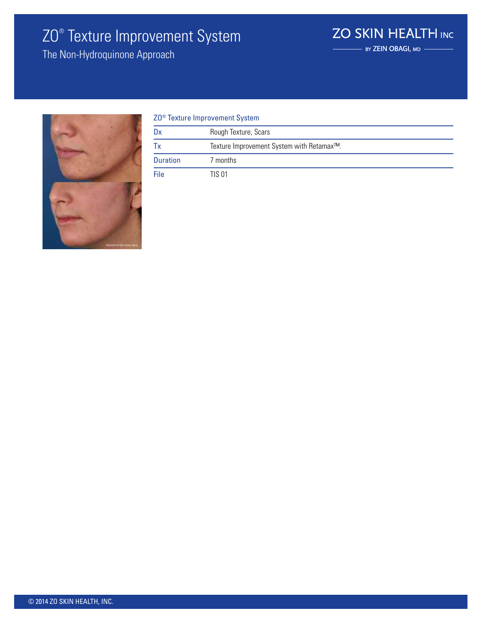# ZO® Texture Improvement System

**ZO SKIN HEALTH INC**  $\overline{\phantom{a}}$  BY ZEIN OBAGI, MD

The Non-Hydroquinone Approach



| ZO <sup>®</sup> Texture Improvement System |                                           |
|--------------------------------------------|-------------------------------------------|
| Dx                                         | Rough Texture, Scars                      |
| Тx                                         | Texture Improvement System with Retamax™. |
| <b>Duration</b>                            | 7 months                                  |
| File                                       | TIS 01                                    |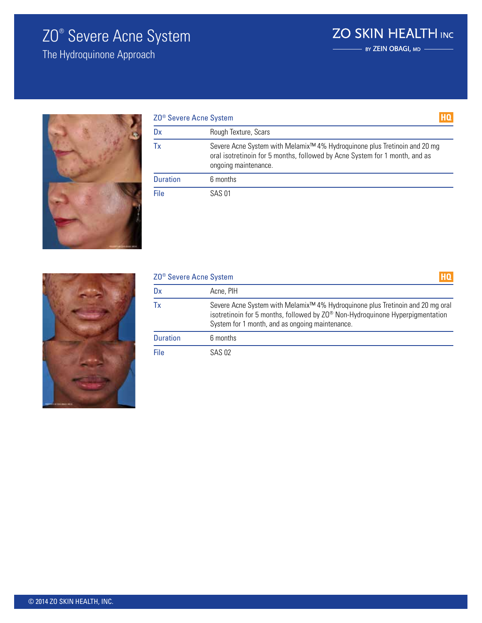### ZO® Severe Acne System

The Hydroquinone Approach



| ZO <sup>®</sup> Severe Acne System<br>Dx | Rough Texture, Scars                                                                                                                                                                         |
|------------------------------------------|----------------------------------------------------------------------------------------------------------------------------------------------------------------------------------------------|
|                                          |                                                                                                                                                                                              |
| Tx                                       | Severe Acne System with Melamix <sup>™</sup> 4% Hydroquinone plus Tretinoin and 20 mg<br>oral isotretinoin for 5 months, followed by Acne System for 1 month, and as<br>ongoing maintenance. |
| <b>Duration</b>                          | 6 months                                                                                                                                                                                     |
| File                                     | SAS 01                                                                                                                                                                                       |

**ZO SKIN HEALTH INC** 

BY ZEIN OBAGI, MD -



| ZO <sup>®</sup> Severe Acne System |                                                                                                                                                                                                                                |
|------------------------------------|--------------------------------------------------------------------------------------------------------------------------------------------------------------------------------------------------------------------------------|
| Dx                                 | Acne, PIH                                                                                                                                                                                                                      |
| Тx                                 | Severe Acne System with Melamix <sup>™</sup> 4% Hydroquinone plus Tretinoin and 20 mg oral<br>isotretinoin for 5 months, followed by ZO® Non-Hydroquinone Hyperpigmentation<br>System for 1 month, and as ongoing maintenance. |
| <b>Duration</b>                    | 6 months                                                                                                                                                                                                                       |
| File                               | SAS 02                                                                                                                                                                                                                         |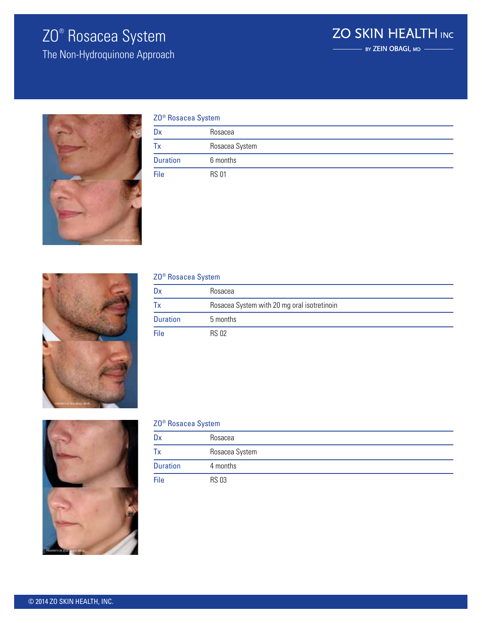### ZO® Rosacea System

The Non-Hydroquinone Approach





| ZO <sup>®</sup> Rosacea System |                |
|--------------------------------|----------------|
| Dx                             | Rosacea        |
| Tх                             | Rosacea System |
| <b>Duration</b>                | 6 months       |
| File                           | <b>RS 01</b>   |



#### ZO® Rosacea System

| Dx              | Rosacea                                     |
|-----------------|---------------------------------------------|
| 1x              | Rosacea System with 20 mg oral isotretinoin |
| <b>Duration</b> | 5 months                                    |
| File            | <b>RS 02</b>                                |



#### ZO® Rosacea System

| Dx              | Rosacea        |
|-----------------|----------------|
| Tх              | Rosacea System |
| <b>Duration</b> | 4 months       |
| File            | <b>RS 03</b>   |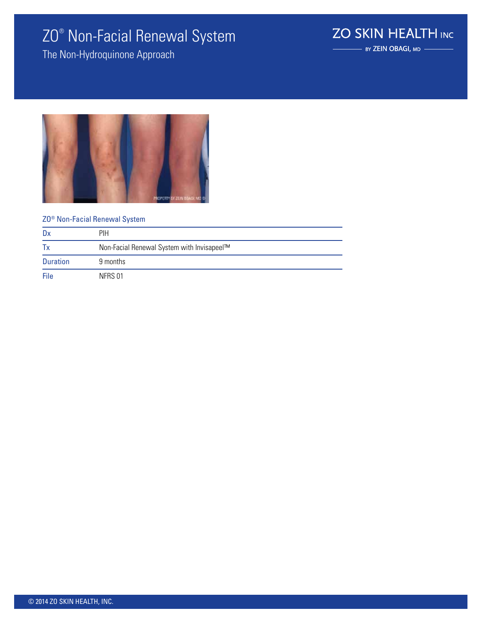### ZO® Non-Facial Renewal System

The Non-Hydroquinone Approach

**ZO SKIN HEALTH INC** 

- BY ZEIN OBAGI, MD -



#### ZO® Non-Facial Renewal System

| Dx              | PIH                                        |
|-----------------|--------------------------------------------|
| Tx              | Non-Facial Renewal System with Invisapeel™ |
| <b>Duration</b> | 9 months                                   |
| File            | NFRS 01                                    |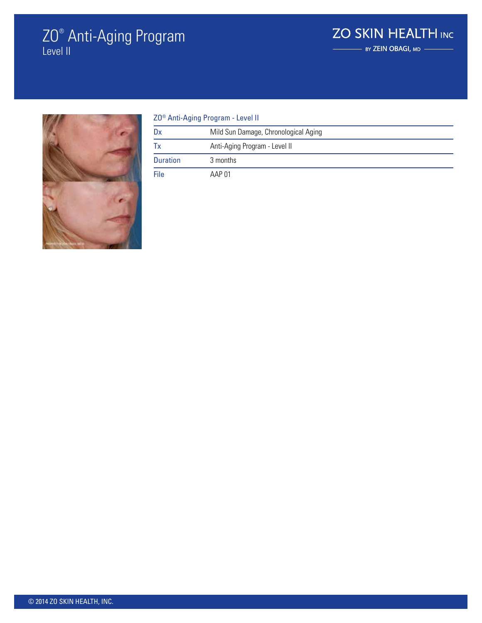### ZO® Anti-Aging Program Level II

### **ZO SKIN HEALTH INC** BY ZEIN OBAGI, MD



| Z0 <sup>®</sup> Anti-Aging Program - Level II |                                      |  |
|-----------------------------------------------|--------------------------------------|--|
| Dx                                            | Mild Sun Damage, Chronological Aging |  |
| Tx                                            | Anti-Aging Program - Level II        |  |
| <b>Duration</b>                               | 3 months                             |  |
| File                                          | AAP 01                               |  |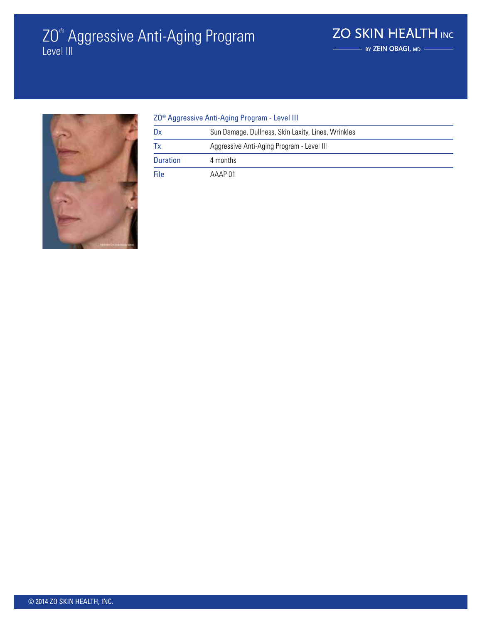### ZO® Aggressive Anti-Aging Program Level III



#### ZO® Aggressive Anti-Aging Program - Level III

| Dx              | Sun Damage, Dullness, Skin Laxity, Lines, Wrinkles |
|-----------------|----------------------------------------------------|
| Tх              | Aggressive Anti-Aging Program - Level III          |
| <b>Duration</b> | 4 months                                           |
| File            | AAAP 01                                            |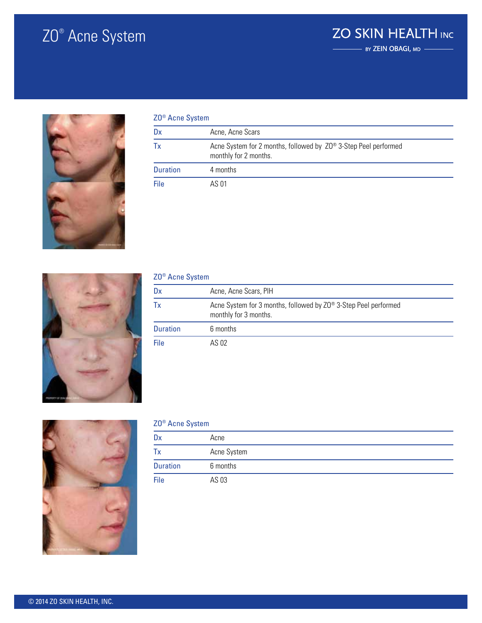# ZO® Acne System

### **ZO SKIN HEALTH INC**  $-$  by ZEIN OBAGI, MD



| ZO <sup>®</sup> Acne System |                                                                                                      |  |
|-----------------------------|------------------------------------------------------------------------------------------------------|--|
| Dx                          | Acne, Acne Scars                                                                                     |  |
| Тx                          | Acne System for 2 months, followed by Z0 <sup>®</sup> 3-Step Peel performed<br>monthly for 2 months. |  |
| <b>Duration</b>             | 4 months                                                                                             |  |
| File                        | AS 01                                                                                                |  |



| ZO <sup>®</sup> Acne System |                                                                                          |  |
|-----------------------------|------------------------------------------------------------------------------------------|--|
| Dx                          | Acne, Acne Scars, PIH                                                                    |  |
| Тx                          | Acne System for 3 months, followed by ZO® 3-Step Peel performed<br>monthly for 3 months. |  |
| <b>Duration</b>             | 6 months                                                                                 |  |
| File                        | AS 02                                                                                    |  |



#### ZO® Acne System

| Dx              | Acne        |
|-----------------|-------------|
| Tx              | Acne System |
| <b>Duration</b> | 6 months    |
| File            | AS 03       |